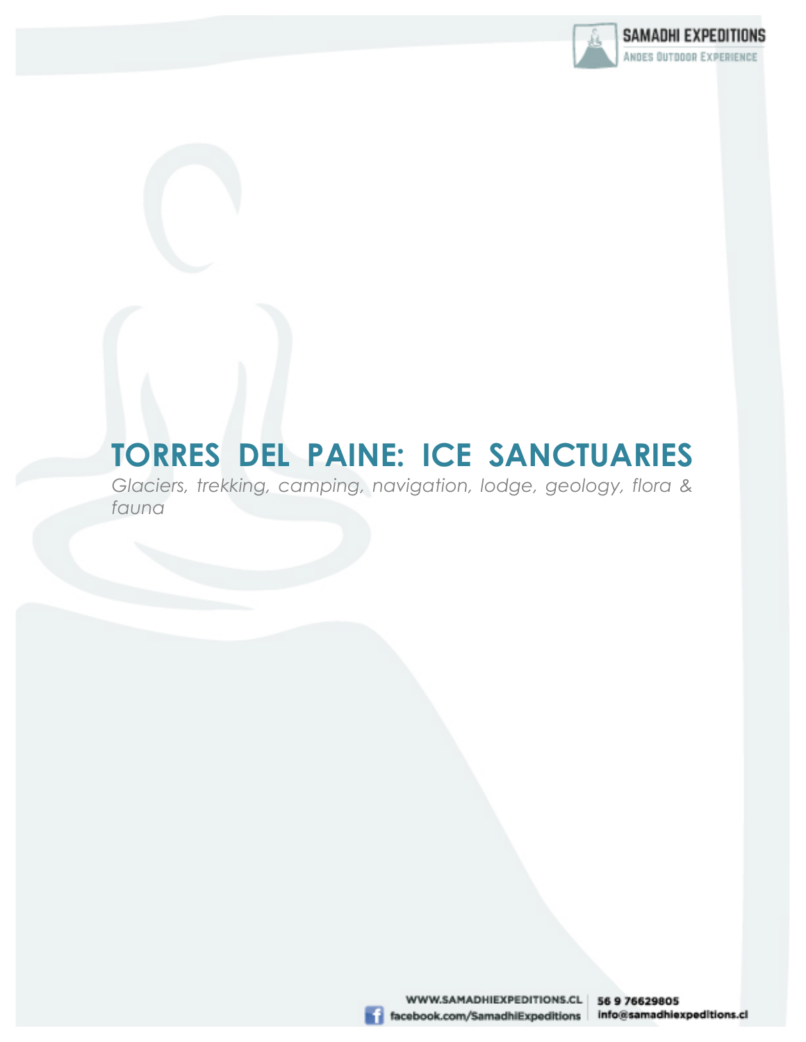

# **TORRES DEL PAINE: ICE SANCTUARIES**

*Glaciers, trekking, camping, navigation, lodge, geology, flora & fauna*

> WWW.SAMADHIEXPEDITIONS.CL | 56 9 76629805 facebook.com/SamadhiExpeditions info@samadhiexpeditions.cl

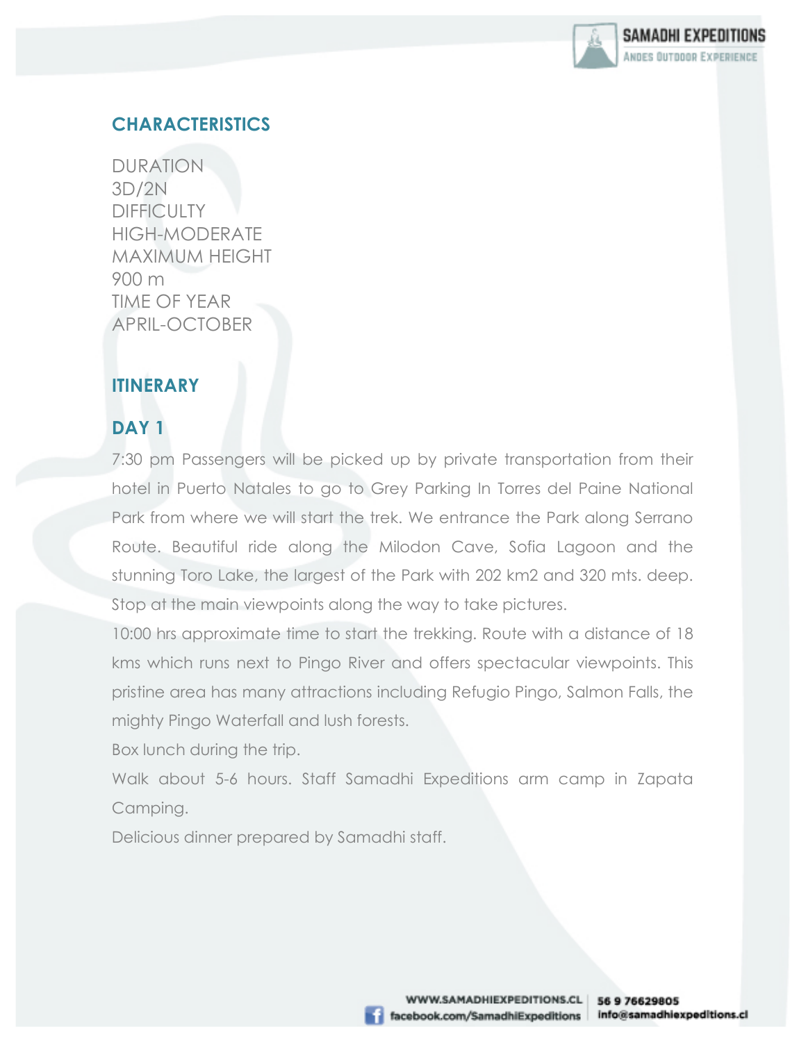

# **CHARACTERISTICS**

DURATION 3D/2N **DIFFICULTY** HIGH-MODERATE MAXIMUM HEIGHT 900 m TIME OF YEAR APRIL-OCTOBER

### **ITINERARY**

# **DAY 1**

7:30 pm Passengers will be picked up by private transportation from their hotel in Puerto Natales to go to Grey Parking In Torres del Paine National Park from where we will start the trek. We entrance the Park along Serrano Route. Beautiful ride along the Milodon Cave, Sofia Lagoon and the stunning Toro Lake, the largest of the Park with 202 km2 and 320 mts. deep. Stop at the main viewpoints along the way to take pictures.

10:00 hrs approximate time to start the trekking. Route with a distance of 18 kms which runs next to Pingo River and offers spectacular viewpoints. This pristine area has many attractions including Refugio Pingo, Salmon Falls, the mighty Pingo Waterfall and lush forests.

Box lunch during the trip.

Walk about 5-6 hours. Staff Samadhi Expeditions arm camp in Zapata Camping.

Delicious dinner prepared by Samadhi staff.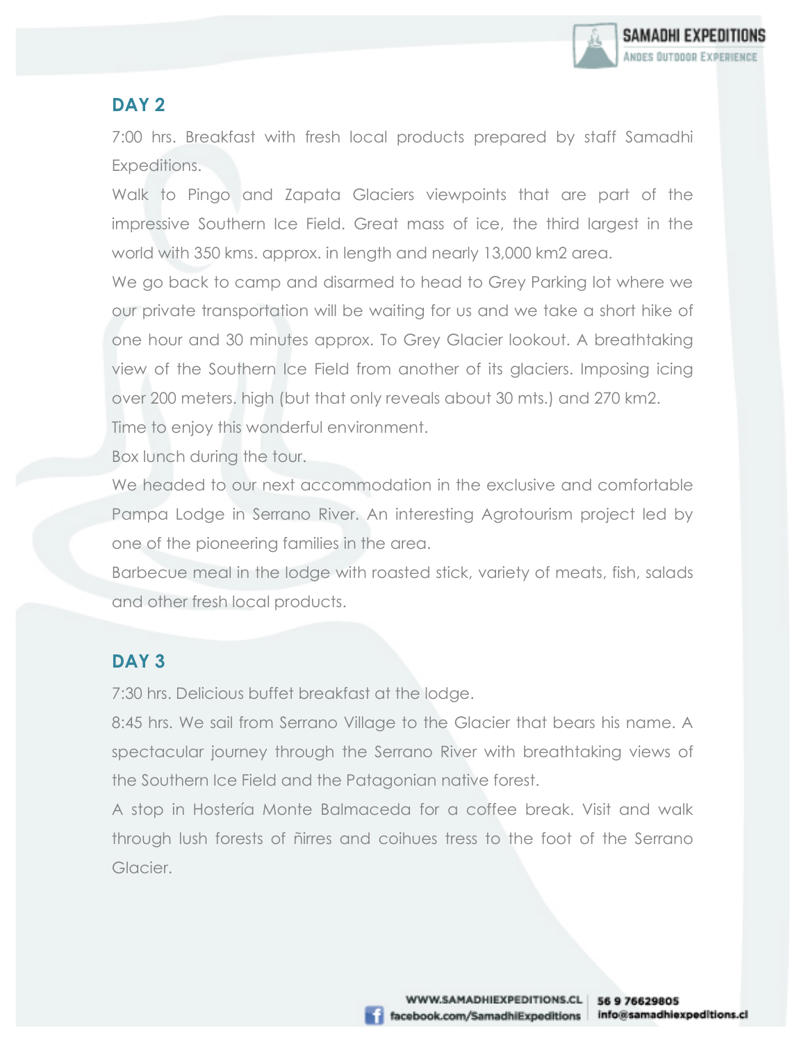

#### **DAY 2**

7:00 hrs. Breakfast with fresh local products prepared by staff Samadhi Expeditions.

Walk to Pingo and Zapata Glaciers viewpoints that are part of the impressive Southern Ice Field. Great mass of ice, the third largest in the world with 350 kms. approx. in length and nearly 13,000 km2 area.

We go back to camp and disarmed to head to Grey Parking lot where we our private transportation will be waiting for us and we take a short hike of one hour and 30 minutes approx. To Grey Glacier lookout. A breathtaking view of the Southern Ice Field from another of its glaciers. Imposing icing over 200 meters. high (but that only reveals about 30 mts.) and 270 km2.

Time to enjoy this wonderful environment.

Box lunch during the tour.

We headed to our next accommodation in the exclusive and comfortable Pampa Lodge in Serrano River. An interesting Agrotourism project led by one of the pioneering families in the area.

Barbecue meal in the lodge with roasted stick, variety of meats, fish, salads and other fresh local products.

#### **DAY 3**

7:30 hrs. Delicious buffet breakfast at the lodge.

8:45 hrs. We sail from Serrano Village to the Glacier that bears his name. A spectacular journey through the Serrano River with breathtaking views of the Southern Ice Field and the Patagonian native forest.

A stop in Hostería Monte Balmaceda for a coffee break. Visit and walk through lush forests of ñirres and coihues tress to the foot of the Serrano Glacier.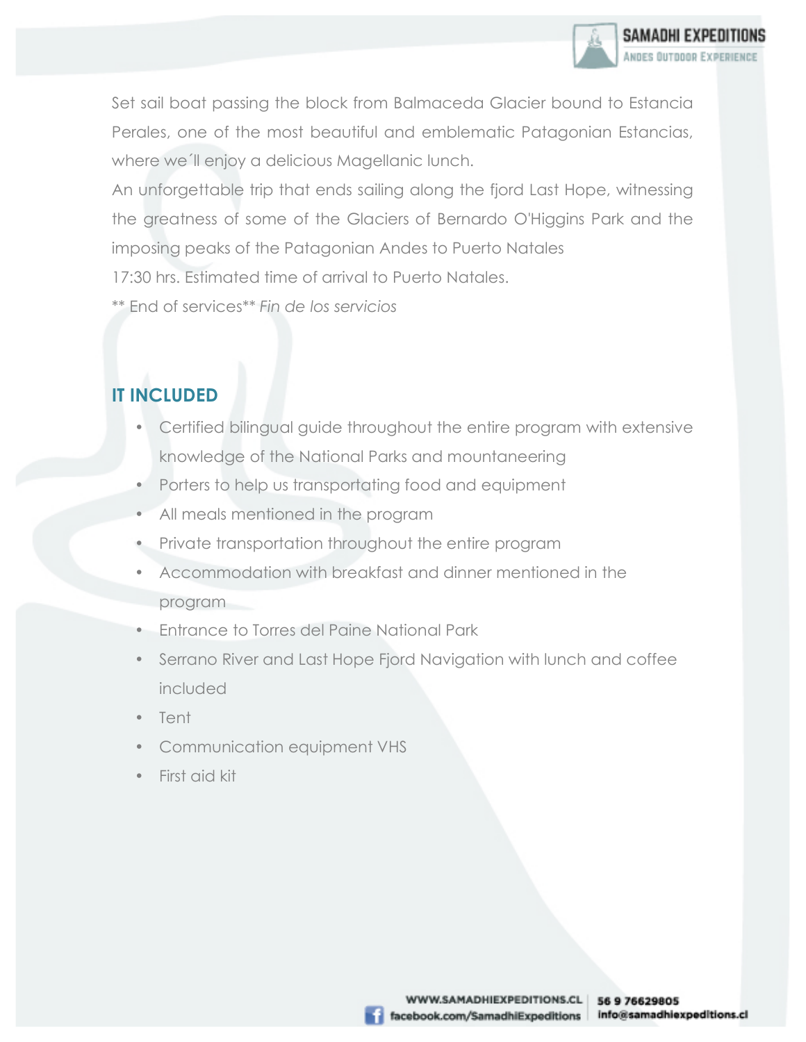Set sail boat passing the block from Balmaceda Glacier bound to Estancia Perales, one of the most beautiful and emblematic Patagonian Estancias, where we´ll enjoy a delicious Magellanic lunch.

An unforgettable trip that ends sailing along the fjord Last Hope, witnessing the greatness of some of the Glaciers of Bernardo O'Higgins Park and the imposing peaks of the Patagonian Andes to Puerto Natales

17:30 hrs. Estimated time of arrival to Puerto Natales.

\*\* End of services*\*\* Fin de los servicios*

# **IT INCLUDED**

- Certified bilingual guide throughout the entire program with extensive knowledge of the National Parks and mountaneering
- Porters to help us transportating food and equipment
- All meals mentioned in the program
- Private transportation throughout the entire program
- Accommodation with breakfast and dinner mentioned in the program
- Entrance to Torres del Paine National Park
- Serrano River and Last Hope Fjord Navigation with lunch and coffee included
- Tent
- Communication equipment VHS
- First aid kit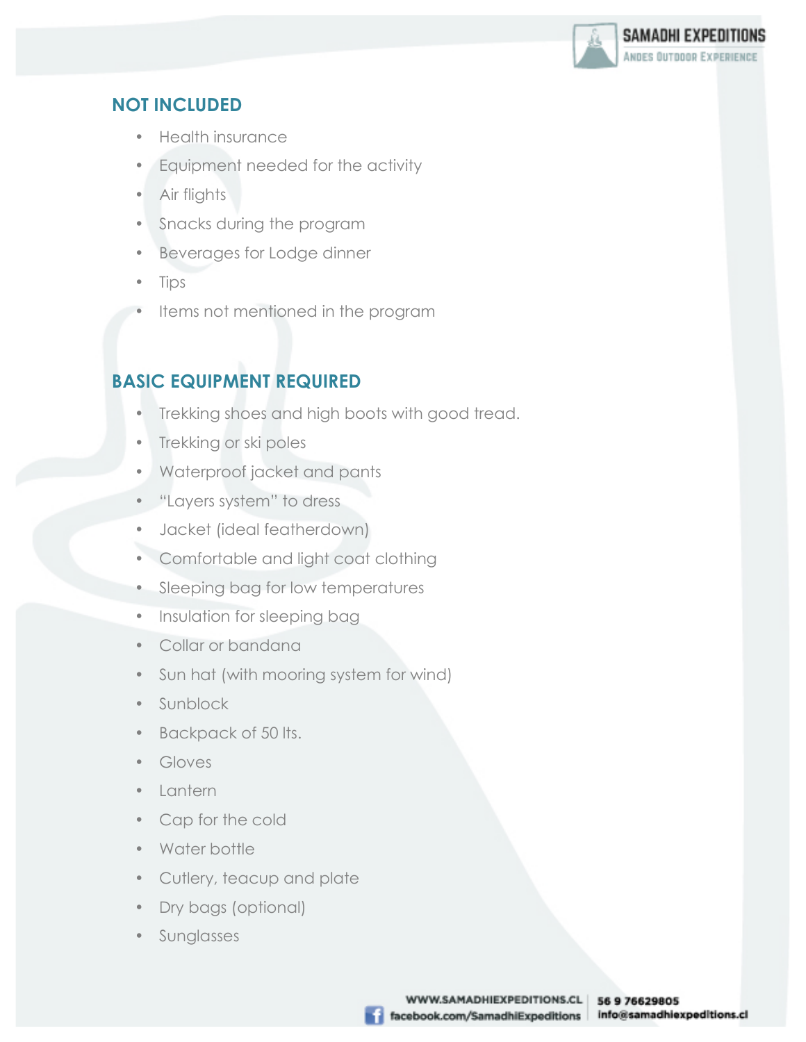

## **NOT INCLUDED**

- Health insurance
- Equipment needed for the activity
- Air flights
- Snacks during the program
- Beverages for Lodge dinner
- Tips
- Items not mentioned in the program

# **BASIC EQUIPMENT REQUIRED**

- Trekking shoes and high boots with good tread.
- Trekking or ski poles
- Waterproof jacket and pants
- "Layers system" to dress
- Jacket (ideal featherdown)
- Comfortable and light coat clothing
- Sleeping bag for low temperatures
- Insulation for sleeping bag
- Collar or bandana
- Sun hat (with mooring system for wind)
- Sunblock
- Backpack of 50 lts.
- Gloves
- Lantern
- Cap for the cold
- Water bottle
- Cutlery, teacup and plate
- Dry bags (optional)
- **Sunglasses**

WWW.SAMADHIEXPEDITIONS.CL | 56 9 76629805 facebook.com/SamadhiExpeditions info@samadhiexpeditions.cl